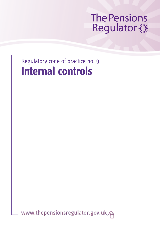# **The Pensions** Regulator and

Regulatory code of practice no. 9 **Internal controls**

www.thepensionsregulator.gov.uk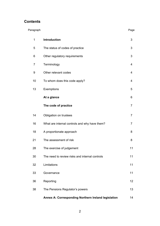## **Contents**

| Paragraph |                                                     | Page           |
|-----------|-----------------------------------------------------|----------------|
| 1         | Introduction                                        | 3              |
| 5         | The status of codes of practice                     | 3              |
| 6         | Other regulatory requirements                       | 3              |
| 7         | Terminology                                         | 4              |
| 9         | Other relevant codes                                | 4              |
| 10        | To whom does this code apply?                       | 4              |
| 13        | Exemptions                                          | 5              |
|           | At a glance                                         | 6              |
|           | The code of practice                                | $\overline{7}$ |
| 14        | Obligation on trustees                              | 7              |
| 16        | What are internal controls and why have them?       | 7              |
| 18        | A proportionate approach                            | 8              |
| 21        | The assessment of risk                              | 8              |
| 28        | The exercise of judgement                           | 11             |
| 30        | The need to review risks and internal controls      | 11             |
| 32        | Limitations                                         | 11             |
| 33        | Governance                                          | 11             |
| 36        | Reporting                                           | 12             |
| 38        | The Pensions Regulator's powers                     | 13             |
|           | Annex A: Corresponding Northern Ireland legislation | 14             |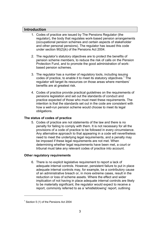### <span id="page-2-0"></span>**Introduction**

- 1. Codes of practice are issued by The Pensions Regulator (the regulator), the body that regulates work-based pension arrangements (occupational pension schemes and certain aspects of stakeholder and other personal pensions). The regulator has issued this code under section 90(2)(k) of the Pensions Act 2004.
- 2. The regulator's statutory objectives are to protect the benefits of pension scheme members, to reduce the risk of calls on the Pension Protection Fund, and to promote the good administration of workbased pension schemes.
- <span id="page-2-4"></span>3. The regulator has a number of regulatory tools, including issuing codes of practice, to enable it to meet its statutory objectives.<sup>1</sup> The regulator will target its resources on those areas where members' benefits are at greatest risk.
- 4. Codes of practice provide practical guidelines on the requirements of pensions legislation and set out the standards of conduct and practice expected of those who must meet these requirements. The intention is that the standards set out in the code are consistent with how a well-run pension scheme would choose to meet its legal obligations.

#### <span id="page-2-1"></span>**The status of codes of practice**

5. Codes of practice are not statements of the law and there is no penalty for failing to comply with them. It is not necessary for all the provisions of a code of practice to be followed in every circumstance. Any alternative approach to that appearing in a code will nevertheless need to meet the underlying legal requirements, and a penalty may be imposed if these legal requirements are not met. When determining whether legal requirements have been met, a court or tribunal must take any relevant codes of practice into account.

#### <span id="page-2-2"></span>**Other regulatory requirements**

6. There is no explicit legislative requirement to report a lack of adequate internal controls. However, persistent failure to put in place adequate internal controls may, for example, be a contributory cause of an administrative breach or, in more extreme cases, result in the reduction or loss of scheme assets. Where the effect and wider implication of not having in place adequate internal controls are likely to be materially significant, the regulator would expect to receive a report, commonly referred to as a 'whistleblowing' report, outlining

l

<span id="page-2-3"></span> $1$  Section 5 (1) of the Pensions Act 2004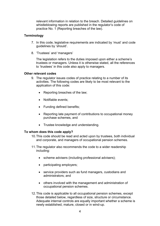relevant information in relation to the breach. Detailed guidelines on whistleblowing reports are published in the regulator's code of practice No. 1 (Reporting breaches of the law).

#### <span id="page-3-0"></span>**Terminology**

- 7. In this code, legislative requirements are indicated by 'must' and code guidelines by 'should'.
- 8. 'Trustees' and 'managers'

The legislation refers to the duties imposed upon either a scheme's trustees or managers. Unless it is otherwise stated, all the references to 'trustees' in this code also apply to managers.

#### <span id="page-3-1"></span>**Other relevant codes**

- 9. The regulator issues codes of practice relating to a number of its activities. The following codes are likely to be most relevant to the application of this code:
	- Reporting breaches of the law;
	- Notifiable events;
	- Funding defined benefits;
	- Reporting late payment of contributions to occupational money purchase schemes, and
	- Trustee knowledge and understanding.

#### <span id="page-3-2"></span>**To whom does this code apply?**

- 10. This code should be read and acted upon by trustees, both individual and corporate, and managers of occupational pension schemes.
- 11. The regulator also recommends the code to a wider readership including:
	- scheme advisers (including professional advisers);
	- participating employers;
	- service providers such as fund managers, custodians and administrators; and
	- others involved with the management and administration of occupational pension schemes.
- 12. This code is applicable to all occupational pension schemes, except those detailed below, regardless of size, structure or circumstance. Adequate internal controls are equally important whether a scheme is newly established, mature, closed or in wind-up.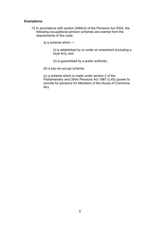#### <span id="page-4-0"></span>**Exemptions**

- 13. In accordance with section 249A(3) of the Pensions Act 2004, the following occupational pension schemes are exempt from the requirements of this code:
	- a) a scheme which —

(i) is established by or under an enactment (including a local Act), and

(ii) is guaranteed by a public authority;

(b) a pay-as-you-go scheme;

(c) a scheme which is made under section 2 of the Parliamentary and Other Pensions Act 1987 (c.45) (power to provide for pensions for Members of the House of Commons etc).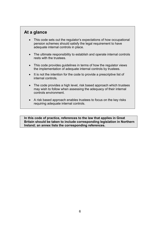## <span id="page-5-0"></span>**At a glance**

- This code sets out the regulator's expectations of how occupational pension schemes should satisfy the legal requirement to have adequate internal controls in place.
- The ultimate responsibility to establish and operate internal controls rests with the trustees.
- This code provides guidelines in terms of how the regulator views the implementation of adequate internal controls by trustees.
- It is not the intention for the code to provide a prescriptive list of internal controls.
- The code provides a high level, risk based approach which trustees may wish to follow when assessing the adequacy of their internal controls environment.
- A risk based approach enables trustees to focus on the key risks requiring adequate internal controls.

**In this code of practice, references to the law that applies in Great Britain should be taken to include corresponding legislation in Northern Ireland; an annex lists the corresponding references.**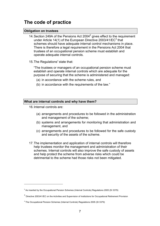# <span id="page-6-0"></span>**The code of practice**

#### <span id="page-6-1"></span>**Obligation on trustees**

- <span id="page-6-4"></span>14. Section 249A of the Pensions Act 2004 $2$  gives effect to the requirement under Article 14(1) of the European Directive 200[3](#page-6-5)/41/EC $^3$  that schemes should have adequate internal control mechanisms in place. There is therefore a legal requirement in the Pensions Act 2004 that trustees of an occupational pension scheme must establish and operate adequate internal controls.
- 15. The Regulations $4$  state that:

<span id="page-6-8"></span><span id="page-6-6"></span>"The trustees or managers of an occupational pension scheme must establish and operate internal controls which are adequate for the purpose of securing that the scheme is administered and managed:

- (a) in accordance with the scheme rules, and
- (b) in accordance with the requirements of the law."

#### <span id="page-6-2"></span>**What are internal controls and why have them?**

- 16. Internal controls are:
	- (a) arrangements and procedures to be followed in the administration and management of the scheme;
	- (b) systems and arrangements for monitoring that administration and management, and
	- (c) arrangements and procedures to be followed for the safe custody and security of the assets of the scheme.
- 17. The implementation and application of internal controls will therefore help trustees monitor the management and administration of their schemes. Internal controls will also improve the safe custody of assets and help protect the scheme from adverse risks which could be detrimental to the scheme had those risks not been mitigated.

<span id="page-6-3"></span> $2$  As inserted by the Occupational Pension Schemes (Internal Controls) Regulations 2005 (SI 3379)

<span id="page-6-5"></span><sup>&</sup>lt;sup>[3](#page-6-6)</sup> Directive 2003/41/EC on the Activities and Supervision of Institutions for Occupational Retirement Provision

<span id="page-6-7"></span><sup>&</sup>lt;sup>[4](#page-6-8)</sup> The Occupational Pension Schemes (Internal Controls) Regulations 2005 (SI 3379)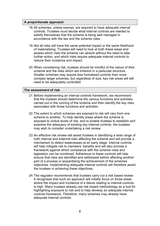#### <span id="page-7-0"></span>**A proportionate approach**

- 18. All schemes, unless exempt, are required to have adequate internal controls. Trustees must decide what internal controls are needed to satisfy themselves that the scheme is being well managed in accordance with the law and the scheme rules.
- 19. Not all risks will have the same potential impact or the same likelihood of materialising. Trustees will need to look at both these areas and assess which risks the scheme can absorb without the need to take further action, and which risks require adequate internal controls to reduce their incidence and impact.
- 20. When considering risk, trustees should be mindful of the nature of their scheme and the risks which are inherent in a particular structure. Smaller schemes may require less formalised controls than more complex larger schemes, but regardless of size, key risk areas will still need to be adequately controlled.

#### <span id="page-7-1"></span>**The assessment of risk**

- 21. Before implementing an internal controls framework, we recommend that the trustees should determine the various functions and activities carried out in the running of the scheme and then identify the key risks associated with those functions and activities.
- 22. The extent to which schemes are exposed to risk will vary from one scheme to another. To help identify areas where the scheme is exposed to undue levels of risk, and to enable trustees to establish and examine the adequacy of existing key internal controls, the trustees may wish to consider undertaking a risk review.
- 23. An effective risk review will assist trustees in identifying a wide range of both internal and external risks affecting the scheme and will provide a mechanism to detect weaknesses at an early stage. Internal controls will help mitigate risk to members' benefits and will also provide a framework against which compliance with the scheme rules and legislation can be monitored. Adherence to these controls will help ensure that risks are identified and addressed before affecting another part of a process or jeopardising the achievement of the schemes objectives. Implementing adequate internal controls will therefore assist the trustees in achieving these objectives.
- 24. The regulator recommends that trustees carry out a risk based review. It recognises that such an approach will initially focus on those areas where the impact and incidence of a failure relating to internal controls is high. Many trustees already use risk based methodology as a tool for highlighting exposure to risk and to help develop an adequate internal controls framework. Therefore, many schemes may already have adequate internal controls.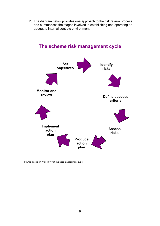25. The diagram below provides one approach to the risk review process and summarises the stages involved in establishing and operating an adequate internal controls environment.



## **The scheme risk management cycle**

Source: based on Watson Wyatt business management cycle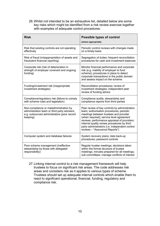26. Whilst not intended to be an exhaustive list, detailed below are some key risks which might be identified from a risk review exercise together with examples of adequate control procedures:

| <b>Risk</b>                                                                                                                                       | <b>Possible types of control</b><br>(where appropriate)                                                                                                                                                                                                                                                                                                            |  |
|---------------------------------------------------------------------------------------------------------------------------------------------------|--------------------------------------------------------------------------------------------------------------------------------------------------------------------------------------------------------------------------------------------------------------------------------------------------------------------------------------------------------------------|--|
| Risk that existing controls are not operating<br>effectively                                                                                      | Periodic control reviews with changes made<br>on a timely basis                                                                                                                                                                                                                                                                                                    |  |
| Risk of fraud (misappropriation of assets and<br>fraudulent financial reporting)                                                                  | Segregation of duties; frequent reconciliation<br>procedures for cash and investment balances                                                                                                                                                                                                                                                                      |  |
| Corporate risk (risk of deterioration in<br>strength of employer covenant and ongoing<br>funding)                                                 | Monitor financial performance and corporate<br>risk (e.g. inability of employer to fund<br>scheme); procedures in place to detect<br>corporate transactions in the public domain<br>and assess impact on the scheme                                                                                                                                                |  |
| Funding/investment risk (inappropriate<br>investment strategies)                                                                                  | Reconciliation procedures; review of<br>investment strategies; independent peer<br>review of funding advice                                                                                                                                                                                                                                                        |  |
| Compliance/regulatory risk (failure to comply<br>with scheme rules and legislation)                                                               | Compliance audits; stewardship and<br>compliance reports from third parties                                                                                                                                                                                                                                                                                        |  |
| Non-compliance or maladministration by<br>administration team or third party advisers,<br>e.g. outsourced administrators (poor record<br>keeping) | Peer review of key controls by administration<br>team; authorisation procedures; periodic<br>meetings between trustees and provider<br>(when required); service level agreement<br>reviews; performance appraisal of providers;<br>internal quality review procedures by third<br>party administrators (i.e. independent control<br>reviews - "Assurance Reports") |  |
| Computer system and database failures                                                                                                             | System recovery plans; data back-up<br>procedures; password controls                                                                                                                                                                                                                                                                                               |  |
| Poor scheme management (ineffective<br>stewardship by those with delegated<br>responsibility)                                                     | Regular trustee meetings; decisions taken<br>within the formal structure of trustee<br>meetings; minutes prepared for all meetings;<br>sub committees; manage conflicts of interest                                                                                                                                                                                |  |

27. Linking internal control to a risk management framework will help trustees to focus on significant risk areas. The code addresses risk areas and considers risk as it applies to various types of scheme. Trustees should set up adequate internal controls which enable them to react to significant operational, financial, funding, regulatory and compliance risk.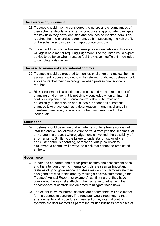#### <span id="page-10-0"></span>**The exercise of judgement**

- 28. Trustees should, having considered the nature and circumstances of their scheme, decide what internal controls are appropriate to mitigate the key risks they have identified and how best to monitor them. This requires them to exercise judgement, both in assessing the risk profile of the scheme and in designing appropriate controls.
- 29. The extent to which the trustees seek professional advice in this area will again be a matter requiring judgement. The regulator would expect advice to be taken when trustees feel they have insufficient knowledge to complete a risk review.

#### <span id="page-10-1"></span>**The need to review risks and internal controls**

- 30. Trustees should be prepared to monitor, challenge and review their risk assessment process and outputs. As referred to above, trustees should also ensure that they can recognise when professional advice is required.
- 31. Risk assessment is a continuous process and must take account of a changing environment. It is not simply concluded when an internal control is implemented. Internal controls should be reviewed periodically, at least on an annual basis, or sooner if substantial changes take place, such as a deterioration in funding, change in investment manager, or where a control has been found to be inadequate.

#### <span id="page-10-2"></span>**Limitations**

32. Trustees should be aware that an internal controls framework is not infallible and will not eliminate error or fraud from pension schemes. At any stage in a process where judgement is involved, the possibility of error remains. Similarly, the failure to understand how or why a particular control is operating, or more seriously, collusion to circumvent a control, will always be a risk that cannot be eradicated entirely.

#### <span id="page-10-3"></span>**Governance**

- 33. In both the corporate and not-for-profit sectors, the assessment of risk and the attention given to internal controls are seen as important features of good governance. Trustees may wish to demonstrate their own good practice in this area by making a positive statement (in their Trustees' Annual Report, for example), confirming that they have considered the key risks affecting their scheme together with the effectiveness of controls implemented to mitigate these risks.
- 34. The extent to which internal controls are documented will be a matter for the trustees to consider. The regulator would recommend that arrangements and procedures in respect of key internal control systems are documented as part of the routine business processes of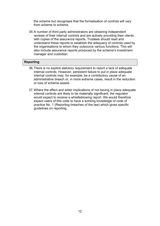the scheme but recognises that the formalisation of controls will vary from scheme to scheme.

35. A number of third party administrators are obtaining independent reviews of their internal controls and are actively providing their clients with copies of the assurance reports. Trustees should read and understand these reports to establish the adequacy of controls used by the organisations to whom they outsource various functions. This will also include assurance reports produced by the scheme's investment manager and custodian.

#### <span id="page-11-0"></span>**Reporting**

- 36. There is no explicit statutory requirement to report a lack of adequate internal controls. However, persistent failure to put in place adequate internal controls may, for example, be a contributory cause of an administrative breach or, in more extreme cases, result in the reduction or loss of scheme assets.
- 37. Where the effect and wider implications of not having in place adequate internal controls are likely to be materially significant, the regulator would expect to receive a whistleblowing report. We would therefore expect users of this code to have a working knowledge of code of practice No. 1 (Reporting breaches of the law) which gives specific guidelines on reporting.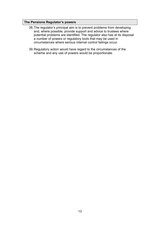#### <span id="page-12-0"></span>**The Pensions Regulator's powers**

- 38. The regulator's principal aim is to prevent problems from developing and, where possible, provide support and advice to trustees where potential problems are identified. The regulator also has at its disposal a number of powers or regulatory tools that may be used in circumstances where serious internal control failings occur.
- 39. Regulatory action would have regard to the circumstances of the scheme and any use of powers would be proportionate.